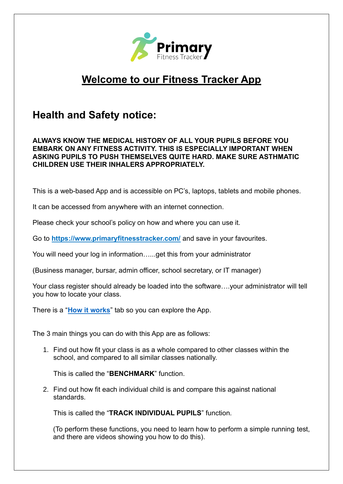

# **Welcome to our Fitness Tracker App**

## **Health and Safety notice:**

#### **ALWAYS KNOW THE MEDICAL HISTORY OF ALL YOUR PUPILS BEFORE YOU EMBARK ON ANY FITNESS ACTIVITY. THIS IS ESPECIALLY IMPORTANT WHEN ASKING PUPILS TO PUSH THEMSELVES QUITE HARD. MAKE SURE ASTHMATIC CHILDREN USE THEIR INHALERS APPROPRIATELY.**

This is a web-based App and is accessible on PC's, laptops, tablets and mobile phones.

It can be accessed from anywhere with an internet connection.

Please check your school's policy on how and where you can use it.

Go to **<https://www.primaryfitnesstracker.com/>** and save in your favourites.

You will need your log in information…...get this from your administrator

(Business manager, bursar, admin officer, school secretary, or IT manager)

Your class register should already be loaded into the software….your administrator will tell you how to locate your class.

There is a "**[How it works](https://www.primaryfitnesstracker.com/how-it-works/)**" tab so you can explore the App.

The 3 main things you can do with this App are as follows:

1. Find out how fit your class is as a whole compared to other classes within the school, and compared to all similar classes nationally.

This is called the "**BENCHMARK**" function.

2. Find out how fit each individual child is and compare this against national standards.

This is called the "**TRACK INDIVIDUAL PUPILS**" function.

(To perform these functions, you need to learn how to perform a simple running test, and there are videos showing you how to do this).